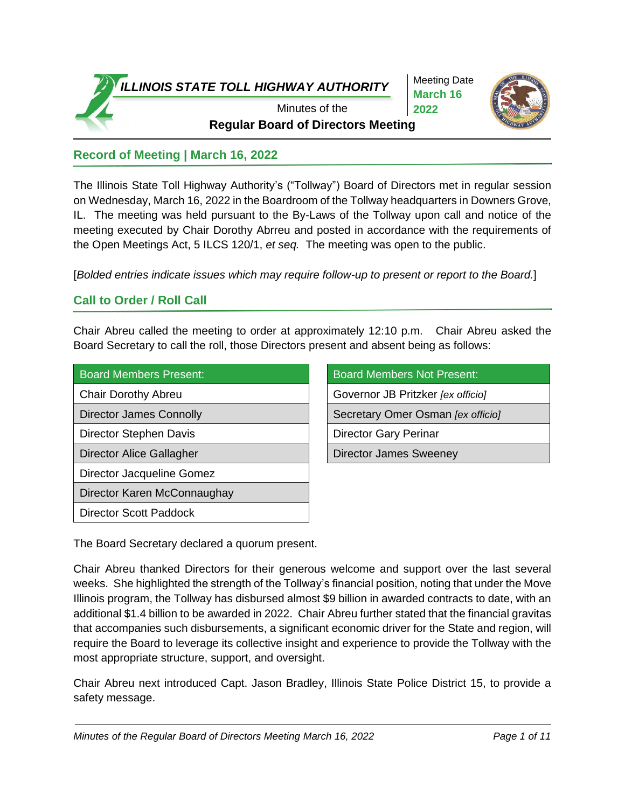

Meeting Date **March 16 2022**



**Regular Board of Directors Meeting** 

# **Record of Meeting | March 16, 2022**

The Illinois State Toll Highway Authority's ("Tollway") Board of Directors met in regular session on Wednesday, March 16, 2022 in the Boardroom of the Tollway headquarters in Downers Grove, IL. The meeting was held pursuant to the By-Laws of the Tollway upon call and notice of the meeting executed by Chair Dorothy Abrreu and posted in accordance with the requirements of the Open Meetings Act, 5 ILCS 120/1, *et seq.* The meeting was open to the public.

[*Bolded entries indicate issues which may require follow-up to present or report to the Board.*]

# **Call to Order / Roll Call**

Chair Abreu called the meeting to order at approximately 12:10 p.m. Chair Abreu asked the Board Secretary to call the roll, those Directors present and absent being as follows:

| <b>Board Members Present:</b>  | <b>Board Members Not Present:</b> |
|--------------------------------|-----------------------------------|
| <b>Chair Dorothy Abreu</b>     | Governor JB Pritzker [ex officio] |
| <b>Director James Connolly</b> | Secretary Omer Osman [ex officio] |
| Director Stephen Davis         | <b>Director Gary Perinar</b>      |
| Director Alice Gallagher       | <b>Director James Sweeney</b>     |
| Director Jacqueline Gomez      |                                   |
| Director Karen McConnaughay    |                                   |
| <b>Director Scott Paddock</b>  |                                   |

| <b>Board Members Not Present:</b> |
|-----------------------------------|
| Governor JB Pritzker [ex officio] |
| Secretary Omer Osman [ex officio] |
| Director Gary Perinar             |
| Director James Sweeney            |

The Board Secretary declared a quorum present.

Chair Abreu thanked Directors for their generous welcome and support over the last several weeks. She highlighted the strength of the Tollway's financial position, noting that under the Move Illinois program, the Tollway has disbursed almost \$9 billion in awarded contracts to date, with an additional \$1.4 billion to be awarded in 2022. Chair Abreu further stated that the financial gravitas that accompanies such disbursements, a significant economic driver for the State and region, will require the Board to leverage its collective insight and experience to provide the Tollway with the most appropriate structure, support, and oversight.

Chair Abreu next introduced Capt. Jason Bradley, Illinois State Police District 15, to provide a safety message.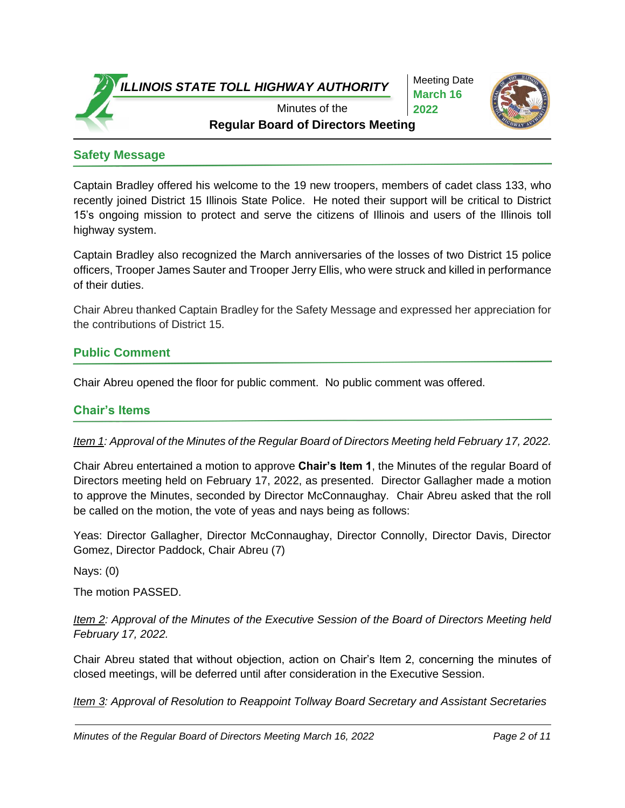Meeting Date **March 16 2022**



**Regular Board of Directors Meeting** Minutes of the

#### **Safety Message**

Captain Bradley offered his welcome to the 19 new troopers, members of cadet class 133, who recently joined District 15 Illinois State Police. He noted their support will be critical to District 15's ongoing mission to protect and serve the citizens of Illinois and users of the Illinois toll highway system.

Captain Bradley also recognized the March anniversaries of the losses of two District 15 police officers, Trooper James Sauter and Trooper Jerry Ellis, who were struck and killed in performance of their duties.

Chair Abreu thanked Captain Bradley for the Safety Message and expressed her appreciation for the contributions of District 15.

#### **Public Comment**

Chair Abreu opened the floor for public comment. No public comment was offered.

#### **Chair's Items**

*Item 1: Approval of the Minutes of the Regular Board of Directors Meeting held February 17, 2022.*

Chair Abreu entertained a motion to approve **Chair's Item 1**, the Minutes of the regular Board of Directors meeting held on February 17, 2022, as presented. Director Gallagher made a motion to approve the Minutes, seconded by Director McConnaughay. Chair Abreu asked that the roll be called on the motion, the vote of yeas and nays being as follows:

Yeas: Director Gallagher, Director McConnaughay, Director Connolly, Director Davis, Director Gomez, Director Paddock, Chair Abreu (7)

Nays: (0)

The motion PASSED.

*Item 2: Approval of the Minutes of the Executive Session of the Board of Directors Meeting held February 17, 2022.*

Chair Abreu stated that without objection, action on Chair's Item 2, concerning the minutes of closed meetings, will be deferred until after consideration in the Executive Session.

*Item 3: Approval of Resolution to Reappoint Tollway Board Secretary and Assistant Secretaries*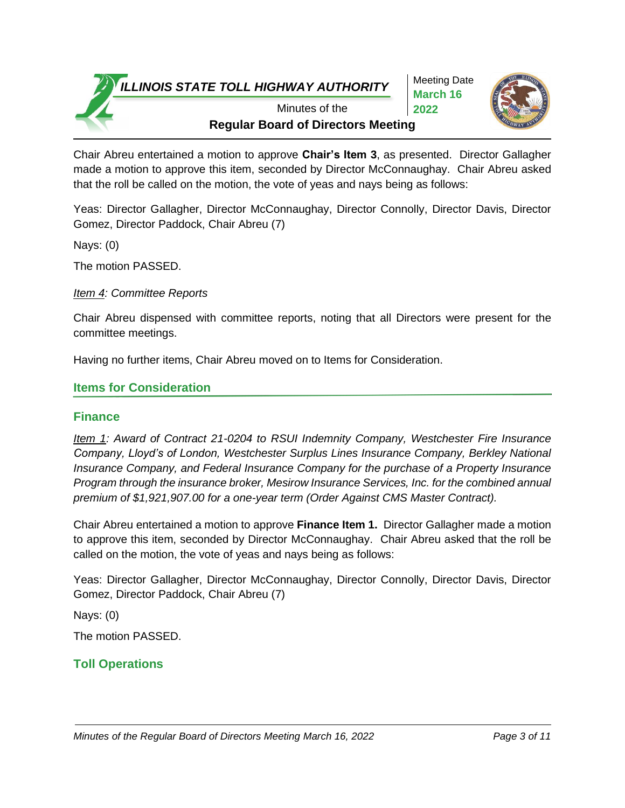Meeting Date **March 16 2022**



**Regular Board of Directors Meeting** Minutes of the

Chair Abreu entertained a motion to approve **Chair's Item 3**, as presented. Director Gallagher made a motion to approve this item, seconded by Director McConnaughay. Chair Abreu asked that the roll be called on the motion, the vote of yeas and nays being as follows:

Yeas: Director Gallagher, Director McConnaughay, Director Connolly, Director Davis, Director Gomez, Director Paddock, Chair Abreu (7)

Nays: (0)

The motion PASSED.

*Item 4: Committee Reports*

Chair Abreu dispensed with committee reports, noting that all Directors were present for the committee meetings.

Having no further items, Chair Abreu moved on to Items for Consideration.

#### **Items for Consideration**

#### **Finance**

*Item 1: Award of Contract 21-0204 to RSUI Indemnity Company, Westchester Fire Insurance Company, Lloyd's of London, Westchester Surplus Lines Insurance Company, Berkley National Insurance Company, and Federal Insurance Company for the purchase of a Property Insurance Program through the insurance broker, Mesirow Insurance Services, Inc. for the combined annual premium of \$1,921,907.00 for a one-year term (Order Against CMS Master Contract).*

Chair Abreu entertained a motion to approve **Finance Item 1.** Director Gallagher made a motion to approve this item, seconded by Director McConnaughay. Chair Abreu asked that the roll be called on the motion, the vote of yeas and nays being as follows:

Yeas: Director Gallagher, Director McConnaughay, Director Connolly, Director Davis, Director Gomez, Director Paddock, Chair Abreu (7)

Nays: (0)

The motion PASSED.

## **Toll Operations**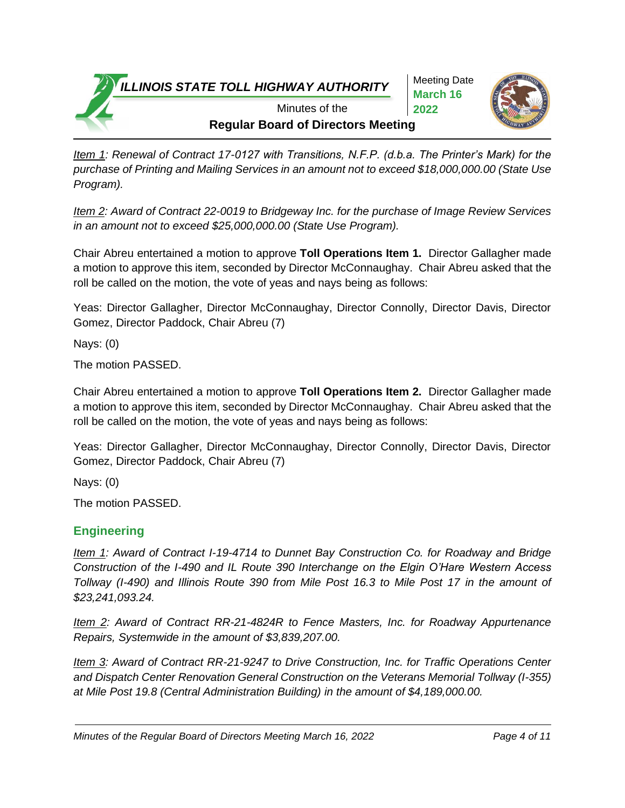Meeting Date **March 16 2022**



**Regular Board of Directors Meeting** Minutes of the

*Item 1: Renewal of Contract 17-0127 with Transitions, N.F.P. (d.b.a. The Printer's Mark) for the purchase of Printing and Mailing Services in an amount not to exceed \$18,000,000.00 (State Use Program).*

*Item 2: Award of Contract 22-0019 to Bridgeway Inc. for the purchase of Image Review Services in an amount not to exceed \$25,000,000.00 (State Use Program).*

Chair Abreu entertained a motion to approve **Toll Operations Item 1.** Director Gallagher made a motion to approve this item, seconded by Director McConnaughay. Chair Abreu asked that the roll be called on the motion, the vote of yeas and nays being as follows:

Yeas: Director Gallagher, Director McConnaughay, Director Connolly, Director Davis, Director Gomez, Director Paddock, Chair Abreu (7)

Nays: (0)

The motion PASSED.

Chair Abreu entertained a motion to approve **Toll Operations Item 2.** Director Gallagher made a motion to approve this item, seconded by Director McConnaughay. Chair Abreu asked that the roll be called on the motion, the vote of yeas and nays being as follows:

Yeas: Director Gallagher, Director McConnaughay, Director Connolly, Director Davis, Director Gomez, Director Paddock, Chair Abreu (7)

Nays: (0)

The motion PASSED.

## **Engineering**

*Item 1: Award of Contract I-19-4714 to Dunnet Bay Construction Co. for Roadway and Bridge Construction of the I-490 and IL Route 390 Interchange on the Elgin O'Hare Western Access Tollway (I-490) and Illinois Route 390 from Mile Post 16.3 to Mile Post 17 in the amount of \$23,241,093.24.*

*Item 2: Award of Contract RR-21-4824R to Fence Masters, Inc. for Roadway Appurtenance Repairs, Systemwide in the amount of \$3,839,207.00.*

*Item 3: Award of Contract RR-21-9247 to Drive Construction, Inc. for Traffic Operations Center and Dispatch Center Renovation General Construction on the Veterans Memorial Tollway (I-355) at Mile Post 19.8 (Central Administration Building) in the amount of \$4,189,000.00.*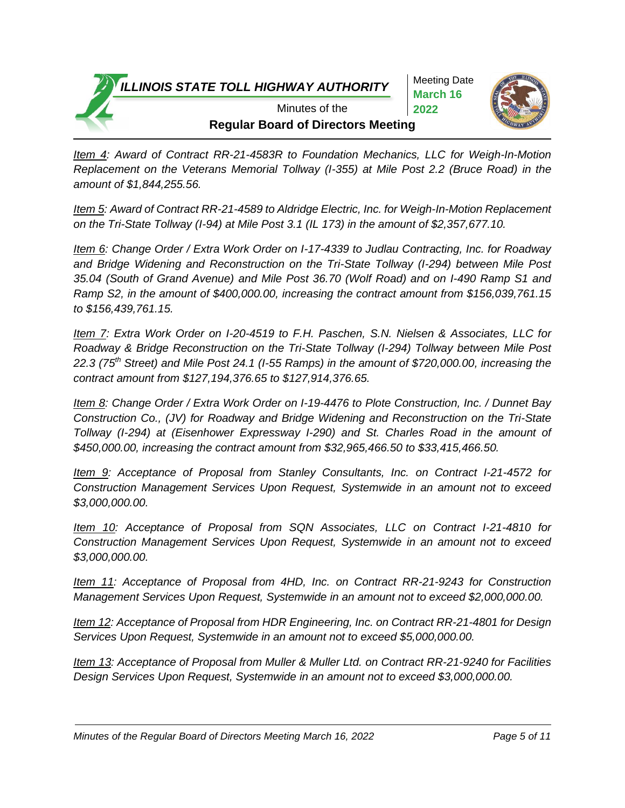Meeting Date **March 16 2022**



**Regular Board of Directors Meeting** Minutes of the

*Item 4: Award of Contract RR-21-4583R to Foundation Mechanics, LLC for Weigh-In-Motion Replacement on the Veterans Memorial Tollway (I-355) at Mile Post 2.2 (Bruce Road) in the amount of \$1,844,255.56.*

*Item 5: Award of Contract RR-21-4589 to Aldridge Electric, Inc. for Weigh-In-Motion Replacement on the Tri-State Tollway (I-94) at Mile Post 3.1 (IL 173) in the amount of \$2,357,677.10.*

*Item 6: Change Order / Extra Work Order on I-17-4339 to Judlau Contracting, Inc. for Roadway and Bridge Widening and Reconstruction on the Tri-State Tollway (I-294) between Mile Post 35.04 (South of Grand Avenue) and Mile Post 36.70 (Wolf Road) and on I-490 Ramp S1 and Ramp S2, in the amount of \$400,000.00, increasing the contract amount from \$156,039,761.15 to \$156,439,761.15.* 

*Item 7: Extra Work Order on I-20-4519 to F.H. Paschen, S.N. Nielsen & Associates, LLC for Roadway & Bridge Reconstruction on the Tri-State Tollway (I-294) Tollway between Mile Post 22.3 (75th Street) and Mile Post 24.1 (I-55 Ramps) in the amount of \$720,000.00, increasing the contract amount from \$127,194,376.65 to \$127,914,376.65.*

*Item 8: Change Order / Extra Work Order on I-19-4476 to Plote Construction, Inc. / Dunnet Bay Construction Co., (JV) for Roadway and Bridge Widening and Reconstruction on the Tri-State Tollway (I-294) at (Eisenhower Expressway I-290) and St. Charles Road in the amount of \$450,000.00, increasing the contract amount from \$32,965,466.50 to \$33,415,466.50.*

*Item 9: Acceptance of Proposal from Stanley Consultants, Inc. on Contract I-21-4572 for Construction Management Services Upon Request, Systemwide in an amount not to exceed \$3,000,000.00.*

*Item 10: Acceptance of Proposal from SQN Associates, LLC on Contract I-21-4810 for Construction Management Services Upon Request, Systemwide in an amount not to exceed \$3,000,000.00.*

*Item 11: Acceptance of Proposal from 4HD, Inc. on Contract RR-21-9243 for Construction Management Services Upon Request, Systemwide in an amount not to exceed \$2,000,000.00.*

*Item 12: Acceptance of Proposal from HDR Engineering, Inc. on Contract RR-21-4801 for Design Services Upon Request, Systemwide in an amount not to exceed \$5,000,000.00.*

*Item 13: Acceptance of Proposal from Muller & Muller Ltd. on Contract RR-21-9240 for Facilities Design Services Upon Request, Systemwide in an amount not to exceed \$3,000,000.00.*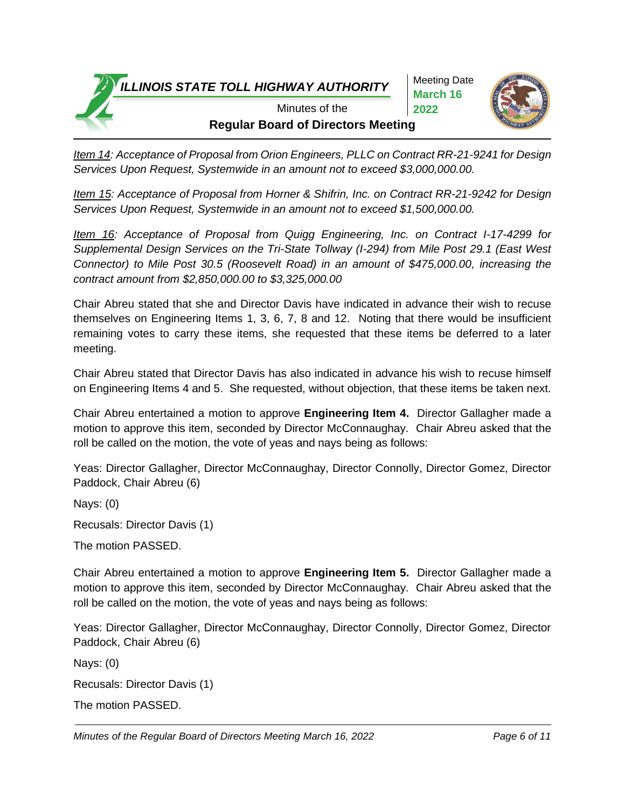Meeting Date **March 16 2022**



**Regular Board of Directors Meeting** Minutes of the

*Item 14: Acceptance of Proposal from Orion Engineers, PLLC on Contract RR-21-9241 for Design Services Upon Request, Systemwide in an amount not to exceed \$3,000,000.00.*

*Item 15: Acceptance of Proposal from Horner & Shifrin, Inc. on Contract RR-21-9242 for Design Services Upon Request, Systemwide in an amount not to exceed \$1,500,000.00.*

*Item 16: Acceptance of Proposal from Quigg Engineering, Inc. on Contract I-17-4299 for Supplemental Design Services on the Tri-State Tollway (I-294) from Mile Post 29.1 (East West Connector) to Mile Post 30.5 (Roosevelt Road) in an amount of \$475,000.00, increasing the contract amount from \$2,850,000.00 to \$3,325,000.00*

Chair Abreu stated that she and Director Davis have indicated in advance their wish to recuse themselves on Engineering Items 1, 3, 6, 7, 8 and 12. Noting that there would be insufficient remaining votes to carry these items, she requested that these items be deferred to a later meeting.

Chair Abreu stated that Director Davis has also indicated in advance his wish to recuse himself on Engineering Items 4 and 5. She requested, without objection, that these items be taken next.

Chair Abreu entertained a motion to approve **Engineering Item 4.** Director Gallagher made a motion to approve this item, seconded by Director McConnaughay. Chair Abreu asked that the roll be called on the motion, the vote of yeas and nays being as follows:

Yeas: Director Gallagher, Director McConnaughay, Director Connolly, Director Gomez, Director Paddock, Chair Abreu (6)

Nays: (0)

Recusals: Director Davis (1)

The motion PASSED.

Chair Abreu entertained a motion to approve **Engineering Item 5.** Director Gallagher made a motion to approve this item, seconded by Director McConnaughay. Chair Abreu asked that the roll be called on the motion, the vote of yeas and nays being as follows:

Yeas: Director Gallagher, Director McConnaughay, Director Connolly, Director Gomez, Director Paddock, Chair Abreu (6)

Nays: (0)

Recusals: Director Davis (1)

The motion PASSED.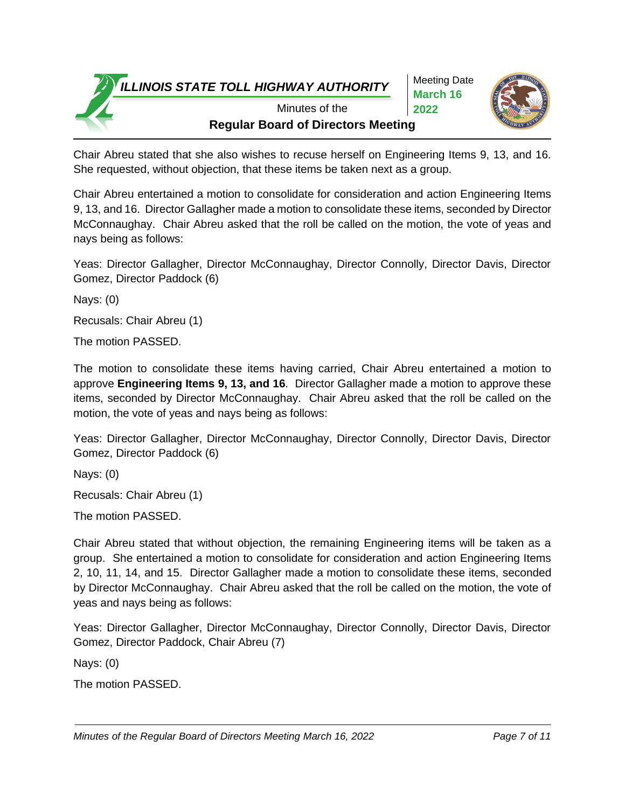Meeting Date **March 16 2022**



**Regular Board of Directors Meeting** Minutes of the

Chair Abreu stated that she also wishes to recuse herself on Engineering Items 9, 13, and 16. She requested, without objection, that these items be taken next as a group.

Chair Abreu entertained a motion to consolidate for consideration and action Engineering Items 9, 13, and 16. Director Gallagher made a motion to consolidate these items, seconded by Director McConnaughay. Chair Abreu asked that the roll be called on the motion, the vote of yeas and nays being as follows:

Yeas: Director Gallagher, Director McConnaughay, Director Connolly, Director Davis, Director Gomez, Director Paddock (6)

Nays: (0)

Recusals: Chair Abreu (1)

The motion PASSED.

The motion to consolidate these items having carried, Chair Abreu entertained a motion to approve **Engineering Items 9, 13, and 16**. Director Gallagher made a motion to approve these items, seconded by Director McConnaughay. Chair Abreu asked that the roll be called on the motion, the vote of yeas and nays being as follows:

Yeas: Director Gallagher, Director McConnaughay, Director Connolly, Director Davis, Director Gomez, Director Paddock (6)

Nays: (0)

Recusals: Chair Abreu (1)

The motion PASSED.

Chair Abreu stated that without objection, the remaining Engineering items will be taken as a group. She entertained a motion to consolidate for consideration and action Engineering Items 2, 10, 11, 14, and 15. Director Gallagher made a motion to consolidate these items, seconded by Director McConnaughay. Chair Abreu asked that the roll be called on the motion, the vote of yeas and nays being as follows:

Yeas: Director Gallagher, Director McConnaughay, Director Connolly, Director Davis, Director Gomez, Director Paddock, Chair Abreu (7)

Nays: (0)

The motion PASSED.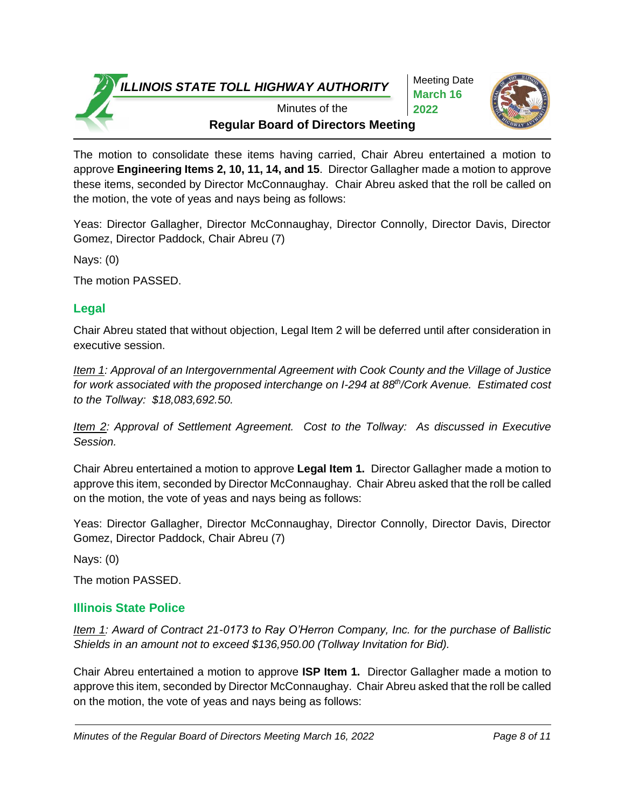Meeting Date **March 16 2022**



**Regular Board of Directors Meeting** Minutes of the

The motion to consolidate these items having carried, Chair Abreu entertained a motion to approve **Engineering Items 2, 10, 11, 14, and 15**. Director Gallagher made a motion to approve these items, seconded by Director McConnaughay. Chair Abreu asked that the roll be called on the motion, the vote of yeas and nays being as follows:

Yeas: Director Gallagher, Director McConnaughay, Director Connolly, Director Davis, Director Gomez, Director Paddock, Chair Abreu (7)

Nays: (0)

The motion PASSED.

# **Legal**

Chair Abreu stated that without objection, Legal Item 2 will be deferred until after consideration in executive session.

*Item 1: Approval of an Intergovernmental Agreement with Cook County and the Village of Justice for work associated with the proposed interchange on I-294 at 88th/Cork Avenue. Estimated cost to the Tollway: \$18,083,692.50.* 

*Item 2: Approval of Settlement Agreement. Cost to the Tollway: As discussed in Executive Session.* 

Chair Abreu entertained a motion to approve **Legal Item 1.** Director Gallagher made a motion to approve this item, seconded by Director McConnaughay. Chair Abreu asked that the roll be called on the motion, the vote of yeas and nays being as follows:

Yeas: Director Gallagher, Director McConnaughay, Director Connolly, Director Davis, Director Gomez, Director Paddock, Chair Abreu (7)

Nays: (0)

The motion PASSED.

# **Illinois State Police**

*Item 1: Award of Contract 21-0173 to Ray O'Herron Company, Inc. for the purchase of Ballistic Shields in an amount not to exceed \$136,950.00 (Tollway Invitation for Bid).*

Chair Abreu entertained a motion to approve **ISP Item 1.** Director Gallagher made a motion to approve this item, seconded by Director McConnaughay. Chair Abreu asked that the roll be called on the motion, the vote of yeas and nays being as follows: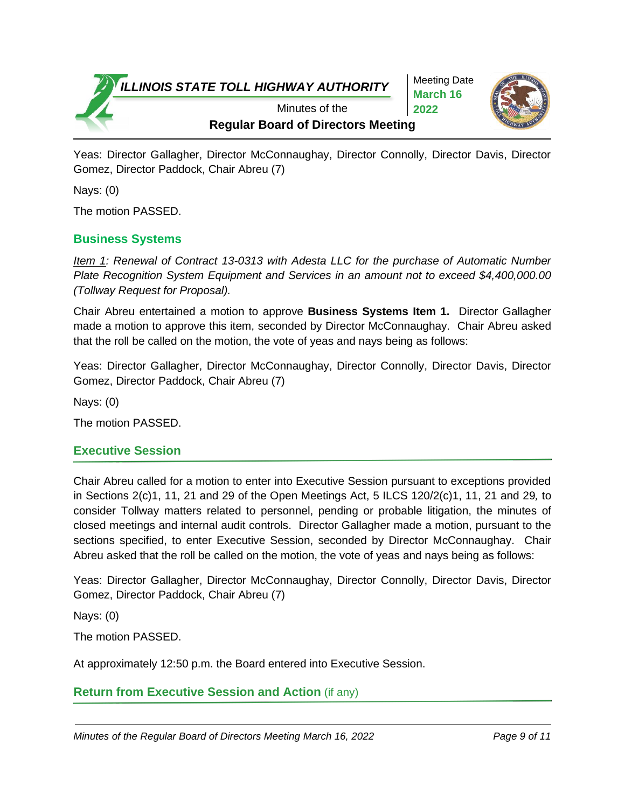Meeting Date **March 16 2022**



**Regular Board of Directors Meeting** Minutes of the

Yeas: Director Gallagher, Director McConnaughay, Director Connolly, Director Davis, Director Gomez, Director Paddock, Chair Abreu (7)

Nays: (0)

The motion PASSED.

## **Business Systems**

*Item 1: Renewal of Contract 13-0313 with Adesta LLC for the purchase of Automatic Number Plate Recognition System Equipment and Services in an amount not to exceed \$4,400,000.00 (Tollway Request for Proposal).*

Chair Abreu entertained a motion to approve **Business Systems Item 1.** Director Gallagher made a motion to approve this item, seconded by Director McConnaughay. Chair Abreu asked that the roll be called on the motion, the vote of yeas and nays being as follows:

Yeas: Director Gallagher, Director McConnaughay, Director Connolly, Director Davis, Director Gomez, Director Paddock, Chair Abreu (7)

Nays: (0)

The motion PASSED.

## **Executive Session**

Chair Abreu called for a motion to enter into Executive Session pursuant to exceptions provided in Sections 2(c)1, 11, 21 and 29 of the Open Meetings Act, 5 ILCS 120/2(c)1, 11, 21 and 29*,* to consider Tollway matters related to personnel, pending or probable litigation, the minutes of closed meetings and internal audit controls. Director Gallagher made a motion, pursuant to the sections specified, to enter Executive Session, seconded by Director McConnaughay. Chair Abreu asked that the roll be called on the motion, the vote of yeas and nays being as follows:

Yeas: Director Gallagher, Director McConnaughay, Director Connolly, Director Davis, Director Gomez, Director Paddock, Chair Abreu (7)

Nays: (0)

The motion PASSED.

At approximately 12:50 p.m. the Board entered into Executive Session.

**Return from Executive Session and Action** (if any)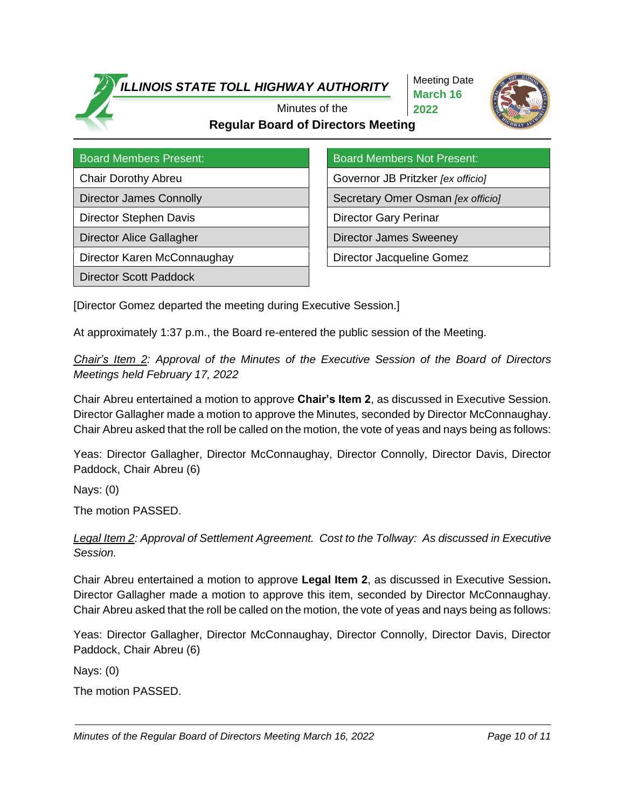Meeting Date **March 16 2022**



## **Regular Board of Directors Meeting** Minutes of the

Director Stephen Davis **Director Gary Perinar** 

Director Karen McConnaughay **Director H** Director Jacqueline Gomez

Director Scott Paddock

Board Members Present: Board Members Not Present:

Chair Dorothy Abreu Governor JB Pritzker *[ex officio]*

Director James Connolly **Secretary Omer Osman** *[ex officio]* Secretary Omer Osman *[ex officio]* 

Director Alice Gallagher **Director James Sweeney** 

[Director Gomez departed the meeting during Executive Session.]

At approximately 1:37 p.m., the Board re-entered the public session of the Meeting.

*Chair's Item 2: Approval of the Minutes of the Executive Session of the Board of Directors Meetings held February 17, 2022*

Chair Abreu entertained a motion to approve **Chair's Item 2**, as discussed in Executive Session. Director Gallagher made a motion to approve the Minutes, seconded by Director McConnaughay. Chair Abreu asked that the roll be called on the motion, the vote of yeas and nays being as follows:

Yeas: Director Gallagher, Director McConnaughay, Director Connolly, Director Davis, Director Paddock, Chair Abreu (6)

Nays: (0)

The motion PASSED.

*Legal Item 2: Approval of Settlement Agreement. Cost to the Tollway: As discussed in Executive Session.* 

Chair Abreu entertained a motion to approve **Legal Item 2**, as discussed in Executive Session**.** Director Gallagher made a motion to approve this item, seconded by Director McConnaughay. Chair Abreu asked that the roll be called on the motion, the vote of yeas and nays being as follows:

Yeas: Director Gallagher, Director McConnaughay, Director Connolly, Director Davis, Director Paddock, Chair Abreu (6)

Nays: (0)

The motion PASSED.